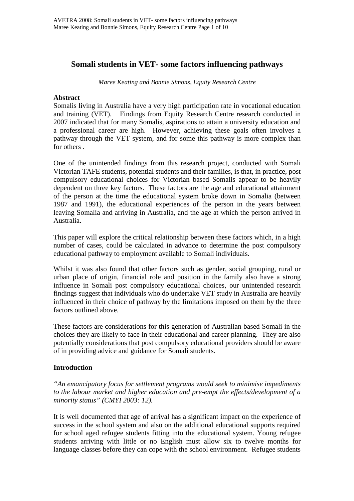## **Somali students in VET- some factors influencing pathways**

*Maree Keating and Bonnie Simons, Equity Research Centre* 

#### **Abstract**

Somalis living in Australia have a very high participation rate in vocational education and training (VET). Findings from Equity Research Centre research conducted in 2007 indicated that for many Somalis, aspirations to attain a university education and a professional career are high. However, achieving these goals often involves a pathway through the VET system, and for some this pathway is more complex than for others .

One of the unintended findings from this research project, conducted with Somali Victorian TAFE students, potential students and their families, is that, in practice, post compulsory educational choices for Victorian based Somalis appear to be heavily dependent on three key factors. These factors are the age and educational attainment of the person at the time the educational system broke down in Somalia (between 1987 and 1991), the educational experiences of the person in the years between leaving Somalia and arriving in Australia, and the age at which the person arrived in Australia.

This paper will explore the critical relationship between these factors which, in a high number of cases, could be calculated in advance to determine the post compulsory educational pathway to employment available to Somali individuals.

Whilst it was also found that other factors such as gender, social grouping, rural or urban place of origin, financial role and position in the family also have a strong influence in Somali post compulsory educational choices, our unintended research findings suggest that individuals who do undertake VET study in Australia are heavily influenced in their choice of pathway by the limitations imposed on them by the three factors outlined above.

These factors are considerations for this generation of Australian based Somali in the choices they are likely to face in their educational and career planning. They are also potentially considerations that post compulsory educational providers should be aware of in providing advice and guidance for Somali students.

## **Introduction**

*"An emancipatory focus for settlement programs would seek to minimise impediments to the labour market and higher education and pre-empt the effects/development of a minority status" (CMYI 2003: 12).* 

It is well documented that age of arrival has a significant impact on the experience of success in the school system and also on the additional educational supports required for school aged refugee students fitting into the educational system. Young refugee students arriving with little or no English must allow six to twelve months for language classes before they can cope with the school environment. Refugee students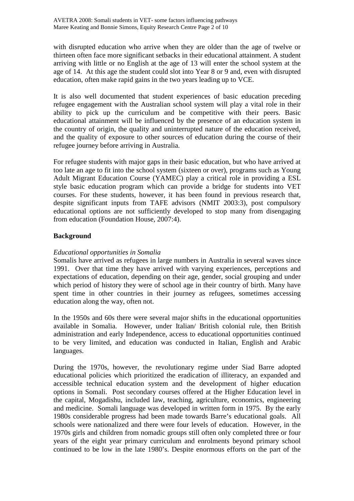with disrupted education who arrive when they are older than the age of twelve or thirteen often face more significant setbacks in their educational attainment. A student arriving with little or no English at the age of 13 will enter the school system at the age of 14. At this age the student could slot into Year 8 or 9 and, even with disrupted education, often make rapid gains in the two years leading up to VCE.

It is also well documented that student experiences of basic education preceding refugee engagement with the Australian school system will play a vital role in their ability to pick up the curriculum and be competitive with their peers. Basic educational attainment will be influenced by the presence of an education system in the country of origin, the quality and uninterrupted nature of the education received, and the quality of exposure to other sources of education during the course of their refugee journey before arriving in Australia.

For refugee students with major gaps in their basic education, but who have arrived at too late an age to fit into the school system (sixteen or over), programs such as Young Adult Migrant Education Course (YAMEC) play a critical role in providing a ESL style basic education program which can provide a bridge for students into VET courses. For these students, however, it has been found in previous research that, despite significant inputs from TAFE advisors (NMIT 2003:3), post compulsory educational options are not sufficiently developed to stop many from disengaging from education (Foundation House, 2007:4).

## **Background**

## *Educational opportunities in Somalia*

Somalis have arrived as refugees in large numbers in Australia in several waves since 1991. Over that time they have arrived with varying experiences, perceptions and expectations of education, depending on their age, gender, social grouping and under which period of history they were of school age in their country of birth. Many have spent time in other countries in their journey as refugees, sometimes accessing education along the way, often not.

In the 1950s and 60s there were several major shifts in the educational opportunities available in Somalia. However, under Italian/ British colonial rule, then British administration and early Independence, access to educational opportunities continued to be very limited, and education was conducted in Italian, English and Arabic languages.

During the 1970s, however, the revolutionary regime under Siad Barre adopted educational policies which prioritized the eradication of illiteracy, an expanded and accessible technical education system and the development of higher education options in Somali. Post secondary courses offered at the Higher Education level in the capital, Mogadishu, included law, teaching, agriculture, economics, engineering and medicine. Somali language was developed in written form in 1975. By the early 1980s considerable progress had been made towards Barre's educational goals. All schools were nationalized and there were four levels of education. However, in the 1970s girls and children from nomadic groups still often only completed three or four years of the eight year primary curriculum and enrolments beyond primary school continued to be low in the late 1980's. Despite enormous efforts on the part of the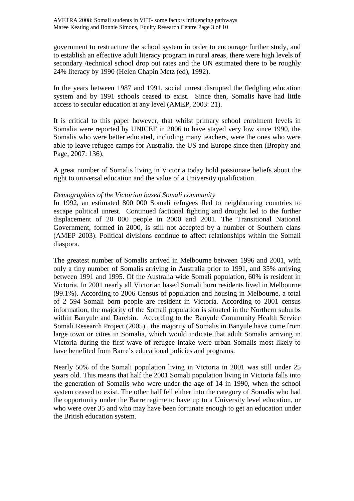government to restructure the school system in order to encourage further study, and to establish an effective adult literacy program in rural areas, there were high levels of secondary /technical school drop out rates and the UN estimated there to be roughly 24% literacy by 1990 (Helen Chapin Metz (ed), 1992).

In the years between 1987 and 1991, social unrest disrupted the fledgling education system and by 1991 schools ceased to exist. Since then, Somalis have had little access to secular education at any level (AMEP, 2003: 21).

It is critical to this paper however, that whilst primary school enrolment levels in Somalia were reported by UNICEF in 2006 to have stayed very low since 1990, the Somalis who were better educated, including many teachers, were the ones who were able to leave refugee camps for Australia, the US and Europe since then (Brophy and Page, 2007: 136).

A great number of Somalis living in Victoria today hold passionate beliefs about the right to universal education and the value of a University qualification.

#### *Demographics of the Victorian based Somali community*

In 1992, an estimated 800 000 Somali refugees fled to neighbouring countries to escape political unrest. Continued factional fighting and drought led to the further displacement of 20 000 people in 2000 and 2001. The Transitional National Government, formed in 2000, is still not accepted by a number of Southern clans (AMEP 2003). Political divisions continue to affect relationships within the Somali diaspora.

The greatest number of Somalis arrived in Melbourne between 1996 and 2001, with only a tiny number of Somalis arriving in Australia prior to 1991, and 35% arriving between 1991 and 1995. Of the Australia wide Somali population, 60% is resident in Victoria. In 2001 nearly all Victorian based Somali born residents lived in Melbourne (99.1%). According to 2006 Census of population and housing in Melbourne, a total of 2 594 Somali born people are resident in Victoria. According to 2001 census information, the majority of the Somali population is situated in the Northern suburbs within Banyule and Darebin. According to the Banyule Community Health Service Somali Research Project (2005) , the majority of Somalis in Banyule have come from large town or cities in Somalia, which would indicate that adult Somalis arriving in Victoria during the first wave of refugee intake were urban Somalis most likely to have benefited from Barre's educational policies and programs.

Nearly 50% of the Somali population living in Victoria in 2001 was still under 25 years old. This means that half the 2001 Somali population living in Victoria falls into the generation of Somalis who were under the age of 14 in 1990, when the school system ceased to exist. The other half fell either into the category of Somalis who had the opportunity under the Barre regime to have up to a University level education, or who were over 35 and who may have been fortunate enough to get an education under the British education system.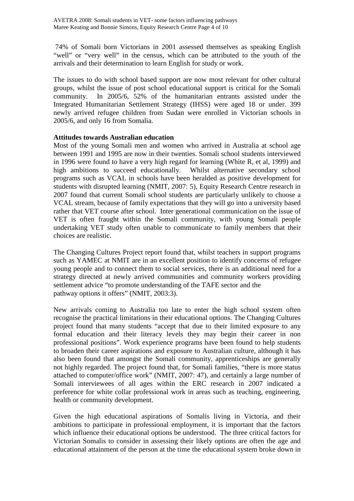74% of Somali born Victorians in 2001 assessed themselves as speaking English "well" or "very well" in the census, which can be attributed to the youth of the arrivals and their determination to learn English for study or work.

The issues to do with school based support are now most relevant for other cultural groups, whilst the issue of post school educational support is critical for the Somali community. In 2005/6, 52% of the humanitarian entrants assisted under the Integrated Humanitarian Settlement Strategy (IHSS) were aged 18 or under. 399 newly arrived refugee children from Sudan were enrolled in Victorian schools in 2005/6, and only 16 from Somalia.

## **Attitudes towards Australian education**

Most of the young Somali men and women who arrived in Australia at school age between 1991 and 1995 are now in their twenties. Somali school students interviewed in 1996 were found to have a very high regard for learning (White R, et al, 1999) and high ambitions to succeed educationally. Whilst alternative secondary school programs such as VCAL in schools have been heralded as positive development for students with disrupted learning (NMIT, 2007: 5), Equity Research Centre research in 2007 found that current Somali school students are particularly unlikely to choose a VCAL stream, because of family expectations that they will go into a university based rather that VET course after school. Inter generational communication on the issue of VET is often fraught within the Somali community, with young Somali people undertaking VET study often unable to communicate to family members that their choices are realistic.

The Changing Cultures Project report found that, whilst teachers in support programs such as YAMEC at NMIT are in an excellent position to identify concerns of refugee young people and to connect them to social services, there is an additional need for a strategy directed at newly arrived communities and community workers providing settlement advice "to promote understanding of the TAFE sector and the pathway options it offers" (NMIT, 2003:3).

New arrivals coming to Australia too late to enter the high school system often recognise the practical limitations in their educational options. The Changing Cultures project found that many students "accept that due to their limited exposure to any formal education and their literacy levels they may begin their career in non professional positions". Work experience programs have been found to help students to broaden their career aspirations and exposure to Australian culture, although it has also been found that amongst the Somali community, apprenticeships are generally not highly regarded. The project found that, for Somali families, "there is more status attached to computer/office work" (NMIT, 2007: 47), and certainly a large number of Somali interviewees of all ages within the ERC research in 2007 indicated a preference for white collar professional work in areas such as teaching, engineering, health or community development.

Given the high educational aspirations of Somalis living in Victoria, and their ambitions to participate in professional employment, it is important that the factors which influence their educational options be understood. The three critical factors for Victorian Somalis to consider in assessing their likely options are often the age and educational attainment of the person at the time the educational system broke down in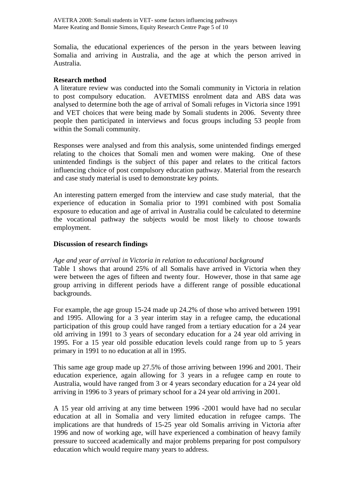AVETRA 2008: Somali students in VET- some factors influencing pathways Maree Keating and Bonnie Simons, Equity Research Centre Page 5 of 10

Somalia, the educational experiences of the person in the years between leaving Somalia and arriving in Australia, and the age at which the person arrived in Australia.

#### **Research method**

A literature review was conducted into the Somali community in Victoria in relation to post compulsory education. AVETMISS enrolment data and ABS data was analysed to determine both the age of arrival of Somali refuges in Victoria since 1991 and VET choices that were being made by Somali students in 2006. Seventy three people then participated in interviews and focus groups including 53 people from within the Somali community.

Responses were analysed and from this analysis, some unintended findings emerged relating to the choices that Somali men and women were making. One of these unintended findings is the subject of this paper and relates to the critical factors influencing choice of post compulsory education pathway. Material from the research and case study material is used to demonstrate key points.

An interesting pattern emerged from the interview and case study material, that the experience of education in Somalia prior to 1991 combined with post Somalia exposure to education and age of arrival in Australia could be calculated to determine the vocational pathway the subjects would be most likely to choose towards employment.

#### **Discussion of research findings**

#### *Age and year of arrival in Victoria in relation to educational background*

Table 1 shows that around 25% of all Somalis have arrived in Victoria when they were between the ages of fifteen and twenty four. However, those in that same age group arriving in different periods have a different range of possible educational backgrounds.

For example, the age group 15-24 made up 24.2% of those who arrived between 1991 and 1995. Allowing for a 3 year interim stay in a refugee camp, the educational participation of this group could have ranged from a tertiary education for a 24 year old arriving in 1991 to 3 years of secondary education for a 24 year old arriving in 1995. For a 15 year old possible education levels could range from up to 5 years primary in 1991 to no education at all in 1995.

This same age group made up 27.5% of those arriving between 1996 and 2001. Their education experience, again allowing for 3 years in a refugee camp en route to Australia, would have ranged from 3 or 4 years secondary education for a 24 year old arriving in 1996 to 3 years of primary school for a 24 year old arriving in 2001.

A 15 year old arriving at any time between 1996 -2001 would have had no secular education at all in Somalia and very limited education in refugee camps. The implications are that hundreds of 15-25 year old Somalis arriving in Victoria after 1996 and now of working age, will have experienced a combination of heavy family pressure to succeed academically and major problems preparing for post compulsory education which would require many years to address.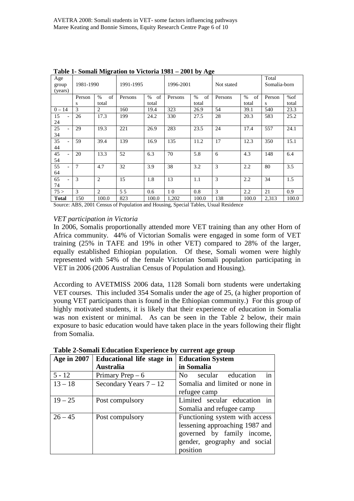| Age<br>group<br>(years)        | . .<br>1981-1990 |                | 1991-1995 |            | 1996-2001 |            | Not stated |            | Total<br>Somalia-born |       |
|--------------------------------|------------------|----------------|-----------|------------|-----------|------------|------------|------------|-----------------------|-------|
|                                | Person           | of<br>$\%$     | Persons   | of<br>$\%$ | Persons   | of<br>$\%$ | Persons    | of<br>$\%$ | Person                | %of   |
|                                | S                | total          |           | total      |           | total      |            | total      | S                     | total |
| $0 - 14$                       | 3                | 2              | 160       | 19.4       | 323       | 26.9       | 54         | 39.1       | 540                   | 23.3  |
| 15                             | 26               | 17.3           | 199       | 24.2       | 330       | 27.5       | 28         | 20.3       | 583                   | 25.2  |
| 24                             |                  |                |           |            |           |            |            |            |                       |       |
| 25                             | 29               | 19.3           | 221       | 26.9       | 283       | 23.5       | 24         | 17.4       | 557                   | 24.1  |
| 34                             |                  |                |           |            |           |            |            |            |                       |       |
| 35                             | 59               | 39.4           | 139       | 16.9       | 135       | 11.2       | 17         | 12.3       | 350                   | 15.1  |
| 44                             |                  |                |           |            |           |            |            |            |                       |       |
| 45                             | 20               | 13.3           | 52        | 6.3        | 70        | 5.8        | 6          | 4.3        | 148                   | 6.4   |
| 54                             |                  |                |           |            |           |            |            |            |                       |       |
| 55<br>$\overline{\phantom{a}}$ | 7                | 4.7            | 32        | 3.9        | 38        | 3.2        | 3          | 2.2        | 80                    | 3.5   |
| 64                             |                  |                |           |            |           |            |            |            |                       |       |
| 65                             | 3                | $\overline{2}$ | 15        | 1.8        | 13        | 1.1        | 3          | 2.2        | 34                    | 1.5   |
| 74                             |                  |                |           |            |           |            |            |            |                       |       |
| 75 >                           | 3                | 2              | 55        | 0.6        | 10        | 0.8        | 3          | 2.2        | 21                    | 0.9   |
| <b>Total</b>                   | 150              | 100.0          | 823       | 100.0      | 1,202     | 100.0      | 138        | 100.0      | 2,313                 | 100.0 |

**Table 1- Somali Migration to Victoria 1981 – 2001 by Age** 

Source: ABS, 2001 Census of Population and Housing, Special Tables, Usual Residence

#### *VET participation in Victoria*

In 2006, Somalis proportionally attended more VET training than any other Horn of Africa community. 44% of Victorian Somalis were engaged in some form of VET training (25% in TAFE and 19% in other VET) compared to 28% of the larger, equally established Ethiopian population. Of these, Somali women were highly represented with 54% of the female Victorian Somali population participating in VET in 2006 (2006 Australian Census of Population and Housing).

According to AVETMISS 2006 data, 1128 Somali born students were undertaking VET courses. This included 354 Somalis under the age of 25, (a higher proportion of young VET participants than is found in the Ethiopian community.) For this group of highly motivated students, it is likely that their experience of education in Somalia was non existent or minimal. As can be seen in the Table 2 below, their main exposure to basic education would have taken place in the years following their flight from Somalia.

| Age in 2007 | Educational life stage in | <b>Education System</b>        |  |  |
|-------------|---------------------------|--------------------------------|--|--|
|             | <b>Australia</b>          | in Somalia                     |  |  |
| $5 - 12$    | Primary Prep $-6$         | secular education<br>No<br>in  |  |  |
| $13 - 18$   | Secondary Years $7 - 12$  | Somalia and limited or none in |  |  |
|             |                           | refugee camp                   |  |  |
| $19 - 25$   | Post compulsory           | Limited secular education in   |  |  |
|             |                           | Somalia and refugee camp       |  |  |
| $26 - 45$   | Post compulsory           | Functioning system with access |  |  |
|             |                           | lessening approaching 1987 and |  |  |
|             |                           | governed by family income,     |  |  |
|             |                           | gender, geography and social   |  |  |
|             |                           | position                       |  |  |

**Table 2-Somali Education Experience by current age group**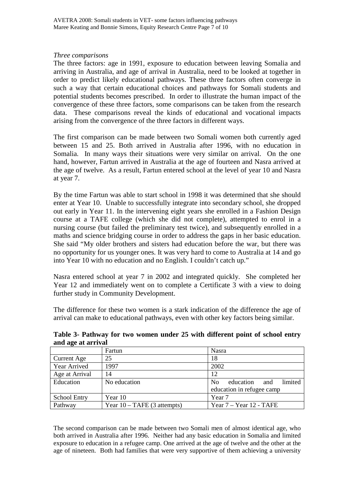#### *Three comparisons*

The three factors: age in 1991, exposure to education between leaving Somalia and arriving in Australia, and age of arrival in Australia, need to be looked at together in order to predict likely educational pathways. These three factors often converge in such a way that certain educational choices and pathways for Somali students and potential students becomes prescribed. In order to illustrate the human impact of the convergence of these three factors, some comparisons can be taken from the research data. These comparisons reveal the kinds of educational and vocational impacts arising from the convergence of the three factors in different ways.

The first comparison can be made between two Somali women both currently aged between 15 and 25. Both arrived in Australia after 1996, with no education in Somalia. In many ways their situations were very similar on arrival. On the one hand, however, Fartun arrived in Australia at the age of fourteen and Nasra arrived at the age of twelve. As a result, Fartun entered school at the level of year 10 and Nasra at year 7.

By the time Fartun was able to start school in 1998 it was determined that she should enter at Year 10. Unable to successfully integrate into secondary school, she dropped out early in Year 11. In the intervening eight years she enrolled in a Fashion Design course at a TAFE college (which she did not complete), attempted to enrol in a nursing course (but failed the preliminary test twice), and subsequently enrolled in a maths and science bridging course in order to address the gaps in her basic education. She said "My older brothers and sisters had education before the war, but there was no opportunity for us younger ones. It was very hard to come to Australia at 14 and go into Year 10 with no education and no English. I couldn't catch up."

Nasra entered school at year 7 in 2002 and integrated quickly. She completed her Year 12 and immediately went on to complete a Certificate 3 with a view to doing further study in Community Development.

The difference for these two women is a stark indication of the difference the age of arrival can make to educational pathways, even with other key factors being similar.

|                     | Fartun                        | Nasra                                         |  |  |
|---------------------|-------------------------------|-----------------------------------------------|--|--|
| Current Age         | 25                            | 18                                            |  |  |
| Year Arrived        | 1997                          | 2002                                          |  |  |
| Age at Arrival      | 14                            | 12                                            |  |  |
| Education           | No education                  | limited<br>education<br>N <sub>0</sub><br>and |  |  |
|                     |                               | education in refugee camp                     |  |  |
| <b>School Entry</b> | Year 10                       | Year <sub>7</sub>                             |  |  |
| Pathway             | Year $10 - TAFE$ (3 attempts) | Year $7 -$ Year 12 - TAFE                     |  |  |

**Table 3- Pathway for two women under 25 with different point of school entry and age at arrival** 

The second comparison can be made between two Somali men of almost identical age, who both arrived in Australia after 1996. Neither had any basic education in Somalia and limited exposure to education in a refugee camp. One arrived at the age of twelve and the other at the age of nineteen. Both had families that were very supportive of them achieving a university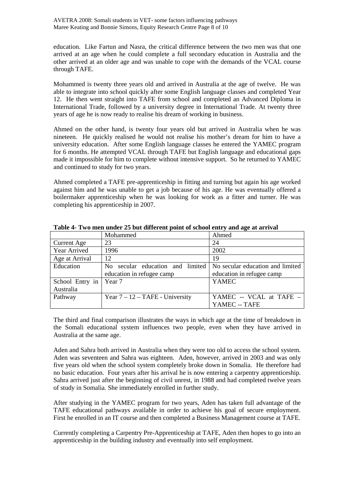education. Like Fartun and Nasra, the critical difference between the two men was that one arrived at an age when he could complete a full secondary education in Australia and the other arrived at an older age and was unable to cope with the demands of the VCAL course through TAFE.

Mohammed is twenty three years old and arrived in Australia at the age of twelve. He was able to integrate into school quickly after some English language classes and completed Year 12. He then went straight into TAFE from school and completed an Advanced Diploma in International Trade, followed by a university degree in International Trade. At twenty three years of age he is now ready to realise his dream of working in business.

Ahmed on the other hand, is twenty four years old but arrived in Australia when he was nineteen. He quickly realised he would not realise his mother's dream for him to have a university education. After some English language classes he entered the YAMEC program for 6 months. He attempted VCAL through TAFE but English language and educational gaps made it impossible for him to complete without intensive support. So he returned to YAMEC and continued to study for two years.

Ahmed completed a TAFE pre-apprenticeship in fitting and turning but again his age worked against him and he was unable to get a job because of his age. He was eventually offered a boilermaker apprenticeship when he was looking for work as a fitter and turner. He was completing his apprenticeship in 2007.

|                    | Mohammed                             | Ahmed                            |  |  |
|--------------------|--------------------------------------|----------------------------------|--|--|
| <b>Current Age</b> | 23                                   | 24                               |  |  |
| Year Arrived       | 1996                                 | 2002                             |  |  |
| Age at Arrival     | 12                                   | 19                               |  |  |
| Education          | secular education and limited<br>No. | No secular education and limited |  |  |
|                    | education in refugee camp            | education in refugee camp        |  |  |
| School Entry in    | Year 7                               | <b>YAMEC</b>                     |  |  |
| Australia          |                                      |                                  |  |  |
| Pathway            | Year $7 - 12 - TAFE$ - University    | YAMEC -- VCAL at TAFE -          |  |  |
|                    |                                      | YAMEC -- TAFE                    |  |  |

**Table 4- Two men under 25 but different point of school entry and age at arrival** 

The third and final comparison illustrates the ways in which age at the time of breakdown in the Somali educational system influences two people, even when they have arrived in Australia at the same age.

Aden and Sahra both arrived in Australia when they were too old to access the school system. Aden was seventeen and Sahra was eighteen. Aden, however, arrived in 2003 and was only five years old when the school system completely broke down in Somalia. He therefore had no basic education. Four years after his arrival he is now entering a carpentry apprenticeship. Sahra arrived just after the beginning of civil unrest, in 1988 and had completed twelve years of study in Somalia. She immediately enrolled in further study.

After studying in the YAMEC program for two years, Aden has taken full advantage of the TAFE educational pathways available in order to achieve his goal of secure employment. First he enrolled in an IT course and then completed a Business Management course at TAFE.

Currently completing a Carpentry Pre-Apprenticeship at TAFE, Aden then hopes to go into an apprenticeship in the building industry and eventually into self employment.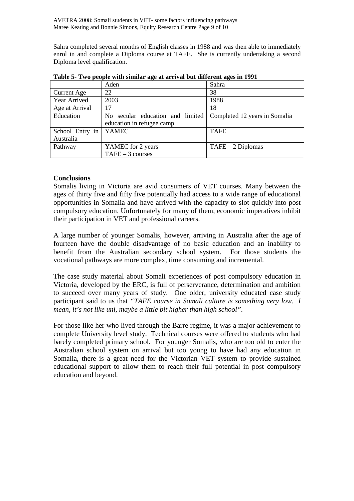AVETRA 2008: Somali students in VET- some factors influencing pathways Maree Keating and Bonnie Simons, Equity Research Centre Page 9 of 10

Sahra completed several months of English classes in 1988 and was then able to immediately enrol in and complete a Diploma course at TAFE. She is currently undertaking a second Diploma level qualification.

|                 | Aden                             | Sahra                         |  |
|-----------------|----------------------------------|-------------------------------|--|
| Current Age     | 22                               | 38                            |  |
| Year Arrived    | 2003                             | 1988                          |  |
| Age at Arrival  | 17                               | 18                            |  |
| Education       | No secular education and limited | Completed 12 years in Somalia |  |
|                 | education in refugee camp        |                               |  |
| School Entry in | YAMEC                            | <b>TAFE</b>                   |  |
| Australia       |                                  |                               |  |
| Pathway         | YAMEC for 2 years                | $TAFE - 2 Diplomas$           |  |
|                 | $TAFE - 3 courses$               |                               |  |

**Table 5- Two people with similar age at arrival but different ages in 1991** 

## **Conclusions**

Somalis living in Victoria are avid consumers of VET courses. Many between the ages of thirty five and fifty five potentially had access to a wide range of educational opportunities in Somalia and have arrived with the capacity to slot quickly into post compulsory education. Unfortunately for many of them, economic imperatives inhibit their participation in VET and professional careers.

A large number of younger Somalis, however, arriving in Australia after the age of fourteen have the double disadvantage of no basic education and an inability to benefit from the Australian secondary school system. For those students the vocational pathways are more complex, time consuming and incremental.

The case study material about Somali experiences of post compulsory education in Victoria, developed by the ERC, is full of perserverance, determination and ambition to succeed over many years of study. One older, university educated case study participant said to us that *"TAFE course in Somali culture is something very low. I mean, it's not like uni, maybe a little bit higher than high school".*

For those like her who lived through the Barre regime, it was a major achievement to complete University level study. Technical courses were offered to students who had barely completed primary school. For younger Somalis, who are too old to enter the Australian school system on arrival but too young to have had any education in Somalia, there is a great need for the Victorian VET system to provide sustained educational support to allow them to reach their full potential in post compulsory education and beyond.